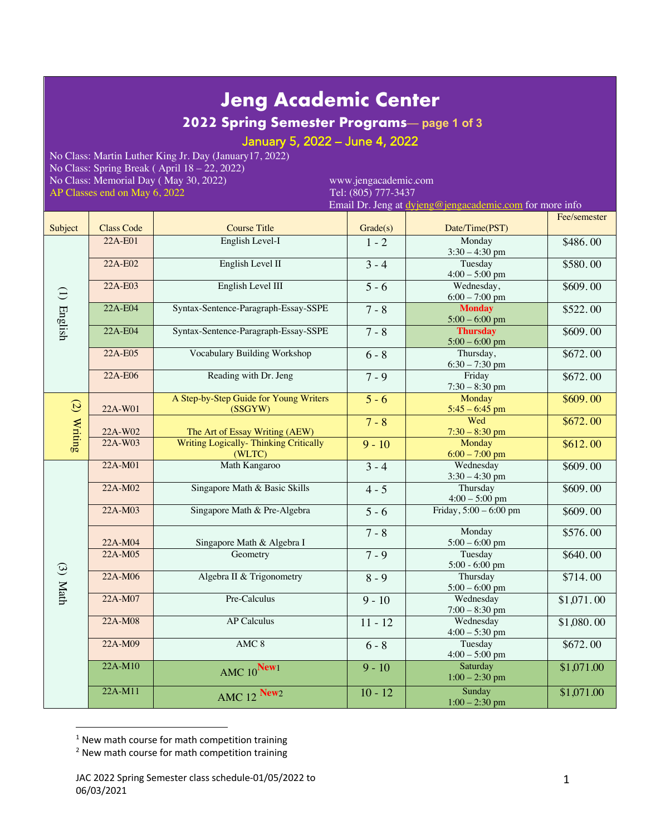# **Jeng Academic Center**

**2022 Spring Semester Programs**— **page 1 of 3**

### January 5, 2022 – June 4, 2022

No Class: Martin Luther King Jr. Day (January17, 2022) No Class: Spring Break ( April 18 – 22, 2022) No Class: Memorial Day (May 30, 2022) www.jengacademic.com<br>AP Classes end on May 6, 2022 Tel: (805) 777-3437 AP Classes end on May 6, 2022

Email Dr. Jeng at dyjeng@jengacademic.com for more info

|             |                   |                                                         |           |                                     | Fee/semester |
|-------------|-------------------|---------------------------------------------------------|-----------|-------------------------------------|--------------|
| Subject     | <b>Class Code</b> | <b>Course Title</b>                                     | Grade(s)  | Date/Time(PST)                      |              |
| (1) English | 22A-E01           | English Level-I                                         | $1 - 2$   | Monday<br>$3:30 - 4:30$ pm          | \$486.00     |
|             | 22A-E02           | English Level II                                        | $3 - 4$   | Tuesday<br>$4:00 - 5:00$ pm         | \$580.00     |
|             | 22A-E03           | English Level III                                       | $5 - 6$   | Wednesday,<br>$6:00 - 7:00$ pm      | \$609.00     |
|             | 22A-E04           | Syntax-Sentence-Paragraph-Essay-SSPE                    | $7 - 8$   | <b>Monday</b><br>$5:00 - 6:00$ pm   | \$522.00     |
|             | 22A-E04           | Syntax-Sentence-Paragraph-Essay-SSPE                    | $7 - 8$   | <b>Thursday</b><br>$5:00 - 6:00$ pm | \$609.00     |
|             | 22A-E05           | Vocabulary Building Workshop                            | $6 - 8$   | Thursday,<br>$6:30 - 7:30$ pm       | \$672.00     |
|             | 22A-E06           | Reading with Dr. Jeng                                   | $7 - 9$   | Friday<br>$7:30 - 8:30$ pm          | \$672.00     |
| (2) Writing | 22A-W01           | A Step-by-Step Guide for Young Writers<br>(SSGYW)       | $5 - 6$   | Monday<br>$5:45 - 6:45$ pm          | \$609.00     |
|             | 22A-W02           | The Art of Essay Writing (AEW)                          | $7 - 8$   | Wed<br>$7:30 - 8:30$ pm             | \$672.00     |
|             | 22A-W03           | <b>Writing Logically- Thinking Critically</b><br>(WLTC) | $9 - 10$  | Monday<br>$6:00 - 7:00$ pm          | \$612.00     |
| $(3)$ Math  | 22A-M01           | Math Kangaroo                                           | $3 - 4$   | Wednesday<br>$3:30 - 4:30$ pm       | \$609.00     |
|             | 22A-M02           | Singapore Math & Basic Skills                           | $4 - 5$   | Thursday<br>$4:00 - 5:00$ pm        | \$609.00     |
|             | 22A-M03           | Singapore Math & Pre-Algebra                            | $5 - 6$   | Friday, 5:00 - 6:00 pm              | \$609.00     |
|             | 22A-M04           | Singapore Math & Algebra I                              | $7 - 8$   | Monday<br>$5:00 - 6:00$ pm          | \$576.00     |
|             | 22A-M05           | Geometry                                                | $7 - 9$   | Tuesday<br>5:00 - 6:00 pm           | \$640.00     |
|             | 22A-M06           | Algebra II & Trigonometry                               | $8 - 9$   | Thursday<br>$5:00 - 6:00$ pm        | \$714.00     |
|             | $22A-M07$         | Pre-Calculus                                            | $9 - 10$  | Wednesday<br>$7:00 - 8:30$ pm       | \$1,071.00   |
|             | 22A-M08           | <b>AP Calculus</b>                                      | $11 - 12$ | Wednesday<br>$4:00 - 5:30$ pm       | \$1,080.00   |
|             | 22A-M09           | AMC <sub>8</sub>                                        | $6 - 8$   | Tuesday<br>$4:00 - 5:00$ pm         | \$672.00     |
|             | 22A-M10           | AMC 10New1                                              | $9 - 10$  | Saturday<br>$1:00 - 2:30$ pm        | \$1,071.00   |
|             | 22A-M11           | AMC 12 New2                                             | $10 - 12$ | Sunday<br>$1:00 - 2:30$ pm          | \$1,071.00   |

 $1$  New math course for math competition training

<sup>&</sup>lt;sup>2</sup> New math course for math competition training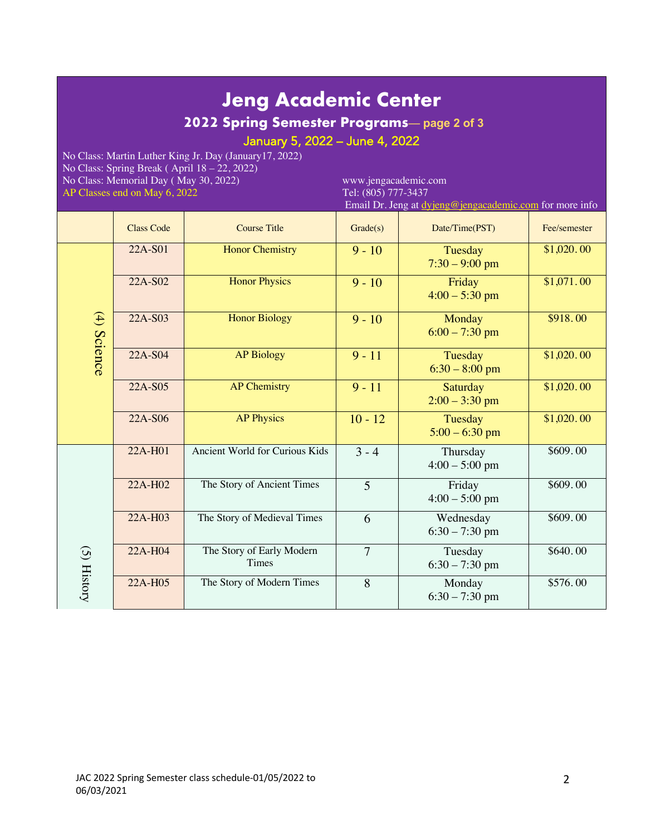## **Jeng Academic Center**

### **2022 Spring Semester Programs**— **page 2 of 3**

January 5, 2022 – June 4, 2022

No Class: Martin Luther King Jr. Day (January17, 2022) No Class: Spring Break ( April 18 – 22, 2022) No Class: Memorial Day (May 30, 2022) www.jengacademic.com<br>AP Classes end on May 6, 2022 Tel: (805) 777-3437 AP Classes end on May 6, 2022

Email Dr. Jeng at dy

|                   |                                           |                |                                     | at <u>ut joint Compaouachine.com</u> for more mite |
|-------------------|-------------------------------------------|----------------|-------------------------------------|----------------------------------------------------|
| <b>Class Code</b> | <b>Course Title</b>                       | Grade(s)       | Date/Time(PST)                      | Fee/semester                                       |
| 22A-S01           | <b>Honor Chemistry</b>                    | $9 - 10$       | Tuesday<br>$7:30 - 9:00$ pm         | \$1,020.00                                         |
| $22A-S02$         | <b>Honor Physics</b>                      | $9 - 10$       | Friday<br>$4:00 - 5:30$ pm          | \$1,071.00                                         |
| 22A-S03           | <b>Honor Biology</b>                      | $9 - 10$       | Monday<br>$6:00 - 7:30$ pm          | \$918.00                                           |
| 22A-S04           | <b>AP Biology</b>                         | $9 - 11$       | Tuesday<br>$6:30 - 8:00$ pm         | \$1,020.00                                         |
| 22A-S05           | <b>AP Chemistry</b>                       | $9 - 11$       | <b>Saturday</b><br>$2:00 - 3:30$ pm | $\overline{$1,020.00}$                             |
| 22A-S06           | <b>AP Physics</b>                         | $10 - 12$      | Tuesday<br>$5:00 - 6:30$ pm         | \$1,020.00                                         |
| 22A-H01           | Ancient World for Curious Kids            | $3 - 4$        | Thursday<br>$4:00 - 5:00$ pm        | \$609.00                                           |
| 22A-H02           | The Story of Ancient Times                | 5              | Friday<br>$4:00 - 5:00$ pm          | \$609.00                                           |
| 22A-H03           | The Story of Medieval Times               | 6              | Wednesday<br>$6:30 - 7:30$ pm       | \$609.00                                           |
| 22A-H04           | The Story of Early Modern<br><b>Times</b> | $\overline{7}$ | Tuesday<br>$6:30 - 7:30$ pm         | \$640.00                                           |
| 22A-H05           | The Story of Modern Times                 | 8              | Monday<br>$6:30 - 7:30$ pm          | \$576.00                                           |
|                   |                                           |                |                                     |                                                    |